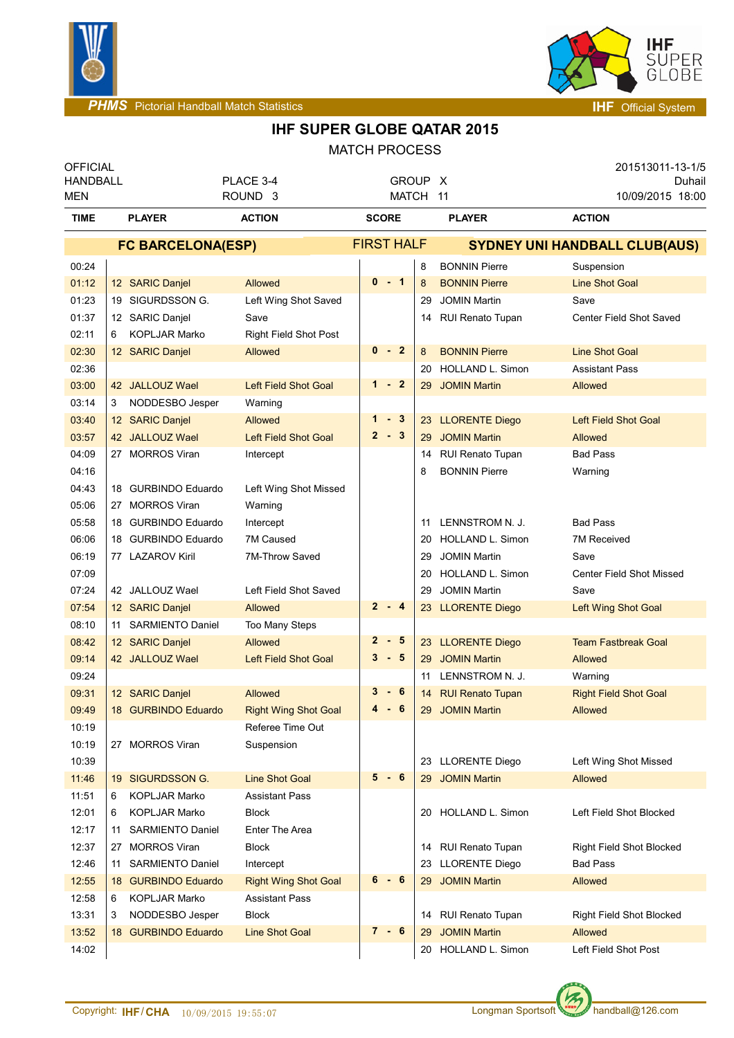



## **IHF SUPER GLOBE QATAR 2015**

| <b>OFFICIAL</b><br><b>HANDBALL</b><br>MEN |                          |                         | PLACE 3-4<br>ROUND <sub>3</sub> |                   | GROUP X<br>MATCH 11 |    |                                      | 201513011-13-1/5<br>Duhail<br>10/09/2015 18:00 |  |
|-------------------------------------------|--------------------------|-------------------------|---------------------------------|-------------------|---------------------|----|--------------------------------------|------------------------------------------------|--|
| <b>TIME</b>                               |                          | <b>PLAYER</b>           | <b>ACTION</b>                   | <b>SCORE</b>      |                     |    | <b>PLAYER</b>                        | <b>ACTION</b>                                  |  |
|                                           | <b>FC BARCELONA(ESP)</b> |                         |                                 | <b>FIRST HALF</b> |                     |    | <b>SYDNEY UNI HANDBALL CLUB(AUS)</b> |                                                |  |
| 00:24                                     |                          |                         |                                 |                   |                     | 8  | <b>BONNIN Pierre</b>                 | Suspension                                     |  |
| 01:12                                     |                          | 12 SARIC Danjel         | <b>Allowed</b>                  | $0 - 1$           |                     | 8  | <b>BONNIN Pierre</b>                 | <b>Line Shot Goal</b>                          |  |
| 01:23                                     |                          | 19 SIGURDSSON G.        | Left Wing Shot Saved            |                   |                     | 29 | <b>JOMIN Martin</b>                  | Save                                           |  |
| 01:37                                     |                          | 12 SARIC Danjel         | Save                            |                   |                     |    | 14 RUI Renato Tupan                  | Center Field Shot Saved                        |  |
| 02:11                                     | 6                        | <b>KOPLJAR Marko</b>    | <b>Right Field Shot Post</b>    |                   |                     |    |                                      |                                                |  |
| 02:30                                     |                          | 12 SARIC Danjel         | Allowed                         | $0 - 2$           |                     | 8  | <b>BONNIN Pierre</b>                 | <b>Line Shot Goal</b>                          |  |
| 02:36                                     |                          |                         |                                 |                   |                     | 20 | <b>HOLLAND L. Simon</b>              | <b>Assistant Pass</b>                          |  |
| 03:00                                     |                          | 42 JALLOUZ Wael         | <b>Left Field Shot Goal</b>     | $1 - 2$           |                     | 29 | <b>JOMIN Martin</b>                  | Allowed                                        |  |
| 03:14                                     | 3                        | NODDESBO Jesper         | Warning                         |                   |                     |    |                                      |                                                |  |
| 03:40                                     |                          | 12 SARIC Danjel         | <b>Allowed</b>                  | $1 - 3$           |                     |    | 23 LLORENTE Diego                    | <b>Left Field Shot Goal</b>                    |  |
| 03:57                                     |                          | 42 JALLOUZ Wael         | <b>Left Field Shot Goal</b>     | $2 - 3$           |                     | 29 | <b>JOMIN Martin</b>                  | Allowed                                        |  |
| 04:09                                     |                          | 27 MORROS Viran         | Intercept                       |                   |                     |    | 14 RUI Renato Tupan                  | <b>Bad Pass</b>                                |  |
| 04:16                                     |                          |                         |                                 |                   |                     | 8  | <b>BONNIN Pierre</b>                 | Warning                                        |  |
| 04:43                                     |                          | 18 GURBINDO Eduardo     | Left Wing Shot Missed           |                   |                     |    |                                      |                                                |  |
| 05:06                                     |                          | 27 MORROS Viran         | Warning                         |                   |                     |    |                                      |                                                |  |
| 05:58                                     |                          | 18 GURBINDO Eduardo     | Intercept                       |                   |                     | 11 | LENNSTROM N. J.                      | <b>Bad Pass</b>                                |  |
| 06:06                                     |                          | 18 GURBINDO Eduardo     | 7M Caused                       |                   |                     | 20 | HOLLAND L. Simon                     | <b>7M Received</b>                             |  |
| 06:19                                     |                          | 77 LAZAROV Kiril        | 7M-Throw Saved                  |                   |                     | 29 | <b>JOMIN Martin</b>                  | Save                                           |  |
| 07:09                                     |                          |                         |                                 |                   |                     | 20 | HOLLAND L. Simon                     | <b>Center Field Shot Missed</b>                |  |
| 07:24                                     |                          | 42 JALLOUZ Wael         | Left Field Shot Saved           |                   |                     | 29 | <b>JOMIN Martin</b>                  | Save                                           |  |
| 07:54                                     |                          | 12 SARIC Danjel         | Allowed                         | $2 - 4$           |                     |    | 23 LLORENTE Diego                    | Left Wing Shot Goal                            |  |
| 08:10                                     |                          | 11 SARMIENTO Daniel     | Too Many Steps                  |                   |                     |    |                                      |                                                |  |
| 08:42                                     |                          | 12 SARIC Danjel         | Allowed                         | $2 - 5$           |                     |    | 23 LLORENTE Diego                    | <b>Team Fastbreak Goal</b>                     |  |
| 09:14                                     |                          | 42 JALLOUZ Wael         | <b>Left Field Shot Goal</b>     | $3 - 5$           |                     | 29 | <b>JOMIN Martin</b>                  | Allowed                                        |  |
| 09:24                                     |                          |                         |                                 |                   |                     | 11 | LENNSTROM N. J.                      | Warning                                        |  |
| 09:31                                     |                          | 12 SARIC Danjel         | Allowed                         | $3 - 6$           |                     |    | 14 RUI Renato Tupan                  | <b>Right Field Shot Goal</b>                   |  |
| 09:49                                     |                          | 18 GURBINDO Eduardo     | <b>Right Wing Shot Goal</b>     | 4                 | $-6$                |    | 29 JOMIN Martin                      | <b>Allowed</b>                                 |  |
| 10:19                                     |                          |                         | Referee Time Out                |                   |                     |    |                                      |                                                |  |
| 10:19                                     |                          | 27 MORROS Viran         | Suspension                      |                   |                     |    |                                      |                                                |  |
| 10:39                                     |                          |                         |                                 |                   |                     |    | 23 LLORENTE Diego                    | Left Wing Shot Missed                          |  |
| 11:46                                     |                          | 19 SIGURDSSON G.        | <b>Line Shot Goal</b>           | $5 - 6$           |                     |    | 29 JOMIN Martin                      | <b>Allowed</b>                                 |  |
| 11:51                                     | 6                        | <b>KOPLJAR Marko</b>    | <b>Assistant Pass</b>           |                   |                     |    |                                      |                                                |  |
| 12:01                                     | 6.                       | <b>KOPLJAR Marko</b>    | Block                           |                   |                     |    | 20 HOLLAND L. Simon                  | Left Field Shot Blocked                        |  |
| 12:17                                     | 11                       | SARMIENTO Daniel        | Enter The Area                  |                   |                     |    |                                      |                                                |  |
| 12:37                                     |                          | 27 MORROS Viran         | <b>Block</b>                    |                   |                     |    | 14 RUI Renato Tupan                  | <b>Right Field Shot Blocked</b>                |  |
| 12:46                                     | 11                       | <b>SARMIENTO Daniel</b> | Intercept                       |                   |                     |    | 23 LLORENTE Diego                    | <b>Bad Pass</b>                                |  |
| 12:55                                     |                          | 18 GURBINDO Eduardo     | <b>Right Wing Shot Goal</b>     | $6 - 6$           |                     |    | 29 JOMIN Martin                      | Allowed                                        |  |
| 12:58                                     | 6                        | <b>KOPLJAR Marko</b>    | <b>Assistant Pass</b>           |                   |                     |    |                                      |                                                |  |
| 13:31                                     | 3                        | NODDESBO Jesper         | <b>Block</b>                    |                   |                     |    | 14 RUI Renato Tupan                  | <b>Right Field Shot Blocked</b>                |  |
| 13:52                                     |                          | 18 GURBINDO Eduardo     | <b>Line Shot Goal</b>           | $7 - 6$           |                     | 29 | <b>JOMIN Martin</b>                  | Allowed                                        |  |
| 14:02                                     |                          |                         |                                 |                   |                     |    | 20 HOLLAND L. Simon                  | Left Field Shot Post                           |  |

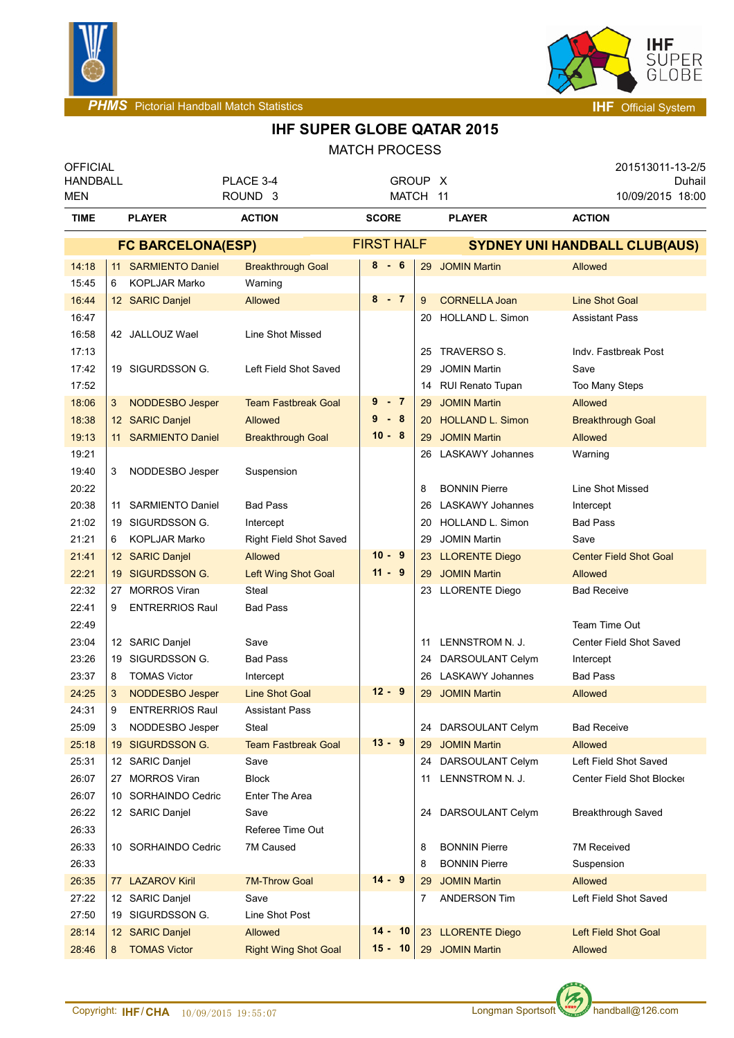



## **IHF SUPER GLOBE QATAR 2015**

| <b>OFFICIAL</b><br><b>HANDBALL</b><br>MEN |                          |                                     | PLACE 3-4<br>ROUND <sub>3</sub> |              |           | GROUP X<br>MATCH 11 |                                      | 201513011-13-2/5<br>Duhail<br>10/09/2015 18:00 |  |
|-------------------------------------------|--------------------------|-------------------------------------|---------------------------------|--------------|-----------|---------------------|--------------------------------------|------------------------------------------------|--|
| <b>TIME</b>                               |                          | <b>PLAYER</b>                       | <b>ACTION</b>                   | <b>SCORE</b> |           |                     | <b>PLAYER</b>                        | <b>ACTION</b>                                  |  |
|                                           | <b>FC BARCELONA(ESP)</b> |                                     |                                 |              |           | <b>FIRST HALF</b>   | <b>SYDNEY UNI HANDBALL CLUB(AUS)</b> |                                                |  |
| 14:18                                     |                          | 11 SARMIENTO Daniel                 | <b>Breakthrough Goal</b>        | 8-6          |           | 29                  | <b>JOMIN Martin</b>                  | Allowed                                        |  |
| 15:45                                     | 6                        | <b>KOPLJAR Marko</b>                | Warning                         |              |           |                     |                                      |                                                |  |
| 16:44                                     |                          | 12 SARIC Danjel                     | Allowed                         |              | $8 - 7$   | 9                   | <b>CORNELLA Joan</b>                 | <b>Line Shot Goal</b>                          |  |
| 16:47                                     |                          |                                     |                                 |              |           | 20                  | <b>HOLLAND L. Simon</b>              | <b>Assistant Pass</b>                          |  |
| 16:58                                     |                          | 42 JALLOUZ Wael                     | Line Shot Missed                |              |           |                     |                                      |                                                |  |
| 17:13                                     |                          |                                     |                                 |              |           | 25                  | TRAVERSO S.                          | Indv. Fastbreak Post                           |  |
| 17:42                                     |                          | 19 SIGURDSSON G.                    | Left Field Shot Saved           |              |           | 29                  | <b>JOMIN Martin</b>                  | Save                                           |  |
| 17:52                                     |                          |                                     |                                 |              |           | 14                  | <b>RUI Renato Tupan</b>              | Too Many Steps                                 |  |
| 18:06                                     | 3                        | <b>NODDESBO Jesper</b>              | <b>Team Fastbreak Goal</b>      |              | 9 - 7     | 29                  | <b>JOMIN Martin</b>                  | Allowed                                        |  |
| 18:38                                     |                          | 12 SARIC Danjel                     | Allowed                         | $9 - 8$      |           | 20                  | <b>HOLLAND L. Simon</b>              | <b>Breakthrough Goal</b>                       |  |
| 19:13                                     |                          | 11 SARMIENTO Daniel                 | <b>Breakthrough Goal</b>        | $10 - 8$     |           | 29                  | <b>JOMIN Martin</b>                  | Allowed                                        |  |
| 19:21                                     |                          |                                     |                                 |              |           | 26                  | <b>LASKAWY Johannes</b>              | Warning                                        |  |
| 19:40                                     | 3                        | NODDESBO Jesper                     | Suspension                      |              |           |                     |                                      |                                                |  |
| 20:22                                     |                          |                                     |                                 |              |           | 8                   | <b>BONNIN Pierre</b>                 | Line Shot Missed                               |  |
| 20:38                                     |                          | 11 SARMIENTO Daniel                 | <b>Bad Pass</b>                 |              |           | 26                  | <b>LASKAWY Johannes</b>              | Intercept                                      |  |
| 21:02                                     |                          | 19 SIGURDSSON G.                    | Intercept                       |              |           | 20                  | HOLLAND L. Simon                     | <b>Bad Pass</b>                                |  |
| 21:21                                     | 6                        | <b>KOPLJAR Marko</b>                | Right Field Shot Saved          |              |           | 29                  | <b>JOMIN Martin</b>                  | Save                                           |  |
| 21:41                                     |                          | 12 SARIC Danjel                     | Allowed                         | $10 - 9$     |           | 23                  | <b>LLORENTE Diego</b>                | <b>Center Field Shot Goal</b>                  |  |
| 22:21                                     |                          | 19 SIGURDSSON G.                    | Left Wing Shot Goal             |              | $11 - 9$  | 29                  | <b>JOMIN Martin</b>                  | Allowed                                        |  |
| 22:32                                     |                          | 27 MORROS Viran                     | Steal                           |              |           |                     | 23 LLORENTE Diego                    | <b>Bad Receive</b>                             |  |
| 22:41                                     | 9                        | <b>ENTRERRIOS Raul</b>              | <b>Bad Pass</b>                 |              |           |                     |                                      |                                                |  |
| 22:49                                     |                          |                                     |                                 |              |           |                     |                                      | Team Time Out                                  |  |
| 23:04                                     |                          | 12 SARIC Danjel                     | Save                            |              |           | 11                  | LENNSTROM N. J.                      | Center Field Shot Saved                        |  |
| 23:26                                     |                          | 19 SIGURDSSON G.                    | <b>Bad Pass</b>                 |              |           | 24                  | DARSOULANT Celym                     | Intercept                                      |  |
| 23:37                                     | 8                        | <b>TOMAS Victor</b>                 | Intercept                       |              |           | 26                  | <b>LASKAWY Johannes</b>              | <b>Bad Pass</b>                                |  |
| 24:25                                     | 3                        | NODDESBO Jesper                     | <b>Line Shot Goal</b>           |              | $12 - 9$  | 29                  | <b>JOMIN Martin</b>                  | Allowed                                        |  |
| 24:31                                     | 9                        | <b>ENTRERRIOS Raul</b>              | <b>Assistant Pass</b>           |              |           |                     |                                      |                                                |  |
| 25:09                                     | 3                        | NODDESBO Jesper                     | Steal                           |              |           |                     | 24 DARSOULANT Celym                  | <b>Bad Receive</b>                             |  |
| 25:18                                     |                          | 19 SIGURDSSON G.                    | <b>Team Fastbreak Goal</b>      |              | $13 - 9$  | 29                  | <b>JOMIN Martin</b>                  | Allowed                                        |  |
| 25:31                                     |                          | 12 SARIC Danjel                     | Save                            |              |           |                     | 24 DARSOULANT Celym                  | Left Field Shot Saved                          |  |
| 26:07                                     |                          | 27 MORROS Viran                     | <b>Block</b>                    |              |           | 11                  | LENNSTROM N. J.                      | Center Field Shot Blocker                      |  |
| 26:07                                     |                          | 10 SORHAINDO Cedric                 | Enter The Area                  |              |           |                     |                                      |                                                |  |
| 26:22                                     |                          | 12 SARIC Danjel                     | Save                            |              |           | 24                  | DARSOULANT Celym                     | Breakthrough Saved                             |  |
| 26:33                                     |                          |                                     | Referee Time Out                |              |           |                     |                                      |                                                |  |
| 26:33                                     |                          | 10 SORHAINDO Cedric                 | 7M Caused                       |              |           | 8                   | <b>BONNIN Pierre</b>                 | <b>7M Received</b>                             |  |
| 26:33                                     |                          |                                     |                                 | $14 - 9$     |           | 8                   | <b>BONNIN Pierre</b>                 | Suspension                                     |  |
| 26:35                                     |                          | 77 LAZAROV Kiril                    | <b>7M-Throw Goal</b>            |              |           | 29                  | <b>JOMIN Martin</b>                  | Allowed                                        |  |
| 27:22                                     |                          | 12 SARIC Danjel                     | Save                            |              |           | 7                   | <b>ANDERSON Tim</b>                  | Left Field Shot Saved                          |  |
| 27:50<br>28:14                            |                          | 19 SIGURDSSON G.<br>12 SARIC Danjel | Line Shot Post<br>Allowed       |              | $14 - 10$ |                     |                                      | Left Field Shot Goal                           |  |
|                                           |                          |                                     |                                 |              | $15 - 10$ |                     | 23 LLORENTE Diego                    |                                                |  |
| 28:46                                     | 8                        | <b>TOMAS Victor</b>                 | <b>Right Wing Shot Goal</b>     |              |           |                     | 29 JOMIN Martin                      | Allowed                                        |  |

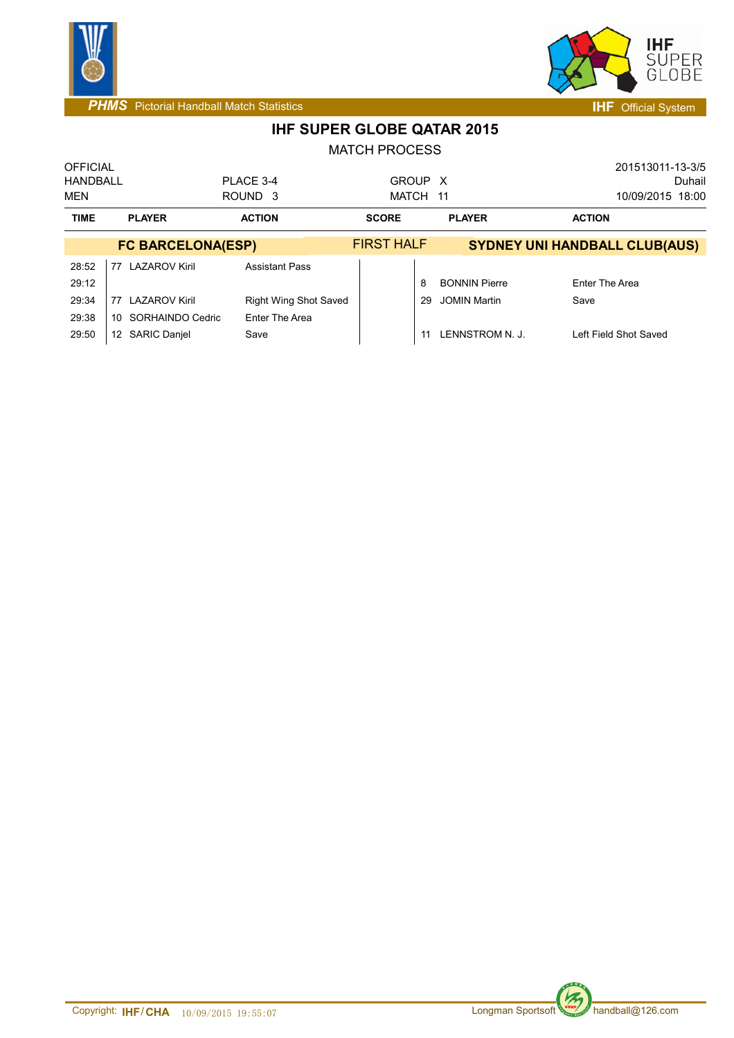



**IHF SUPER GLOBE QATAR 2015**

| <b>OFFICIAL</b><br>HANDBALL<br><b>MEN</b> |                            | PLACE 3-4<br>ROUND <sub>3</sub> | GROUP X<br>MATCH 11 |    |                      | 201513011-13-3/5<br>Duhail<br>10/09/2015 18:00 |
|-------------------------------------------|----------------------------|---------------------------------|---------------------|----|----------------------|------------------------------------------------|
| <b>TIME</b>                               | <b>PLAYER</b>              | <b>ACTION</b>                   | <b>SCORE</b>        |    | <b>PLAYER</b>        | <b>ACTION</b>                                  |
|                                           | <b>FC BARCELONA(ESP)</b>   |                                 | <b>FIRST HALF</b>   |    |                      | <b>SYDNEY UNI HANDBALL CLUB(AUS)</b>           |
| 28:52<br>29:12                            | <b>LAZAROV Kiril</b><br>77 | <b>Assistant Pass</b>           |                     | 8  | <b>BONNIN Pierre</b> | Enter The Area                                 |
| 29:34                                     | <b>LAZAROV Kiril</b><br>77 | <b>Right Wing Shot Saved</b>    |                     | 29 | <b>JOMIN Martin</b>  | Save                                           |
| 29:38                                     | SORHAINDO Cedric<br>10     | Enter The Area                  |                     |    |                      |                                                |
| 29:50                                     | <b>SARIC Danjel</b><br>12  | Save                            |                     |    | LENNSTROM N. J.      | Left Field Shot Saved                          |

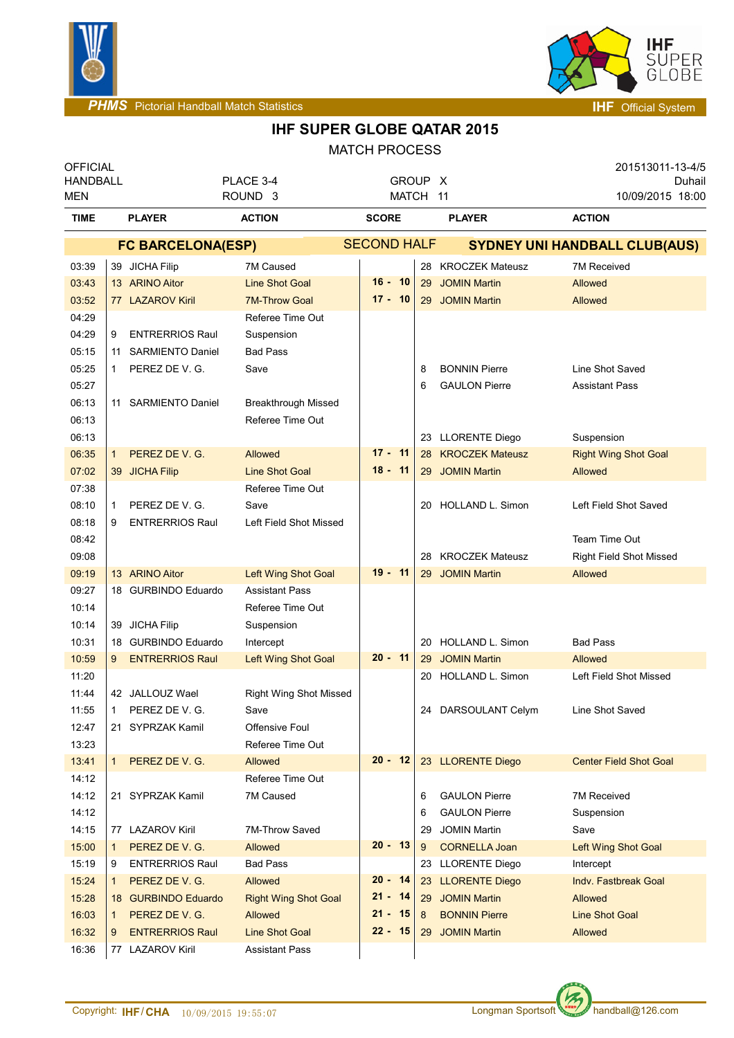



## **IHF SUPER GLOBE QATAR 2015**

| <b>OFFICIAL</b><br><b>HANDBALL</b><br><b>MEN</b> |                          |                         | PLACE 3-4<br>ROUND <sub>3</sub>                     |                    | GROUP X<br>MATCH 11 |    |                                      | 201513011-13-4/5<br>Duhail<br>10/09/2015 18:00 |  |  |
|--------------------------------------------------|--------------------------|-------------------------|-----------------------------------------------------|--------------------|---------------------|----|--------------------------------------|------------------------------------------------|--|--|
| <b>TIME</b>                                      |                          | <b>PLAYER</b>           | <b>ACTION</b>                                       | <b>SCORE</b>       |                     |    | <b>PLAYER</b>                        | <b>ACTION</b>                                  |  |  |
|                                                  | <b>FC BARCELONA(ESP)</b> |                         |                                                     | <b>SECOND HALF</b> |                     |    | <b>SYDNEY UNI HANDBALL CLUB(AUS)</b> |                                                |  |  |
| 03:39                                            |                          | 39 JICHA Filip          | 7M Caused                                           |                    |                     |    | 28 KROCZEK Mateusz                   | 7M Received                                    |  |  |
| 03:43                                            |                          | 13 ARINO Aitor          | <b>Line Shot Goal</b>                               |                    | $16 - 10$           | 29 | <b>JOMIN Martin</b>                  | Allowed                                        |  |  |
| 03:52                                            |                          | 77 LAZAROV Kiril        | <b>7M-Throw Goal</b>                                |                    | $17 - 10$           |    | 29 JOMIN Martin                      | Allowed                                        |  |  |
| 04:29                                            |                          |                         | Referee Time Out                                    |                    |                     |    |                                      |                                                |  |  |
| 04:29                                            | 9                        | <b>ENTRERRIOS Raul</b>  | Suspension                                          |                    |                     |    |                                      |                                                |  |  |
| 05:15                                            | 11                       | <b>SARMIENTO Daniel</b> | <b>Bad Pass</b>                                     |                    |                     |    |                                      |                                                |  |  |
| 05:25                                            | $\mathbf{1}$             | PEREZ DE V. G.          | Save                                                |                    |                     | 8  | <b>BONNIN Pierre</b>                 | Line Shot Saved                                |  |  |
| 05:27                                            |                          |                         |                                                     |                    |                     | 6  | <b>GAULON Pierre</b>                 | <b>Assistant Pass</b>                          |  |  |
| 06:13                                            |                          | 11 SARMIENTO Daniel     | <b>Breakthrough Missed</b>                          |                    |                     |    |                                      |                                                |  |  |
| 06:13                                            |                          |                         | Referee Time Out                                    |                    |                     |    |                                      |                                                |  |  |
| 06:13                                            |                          |                         |                                                     |                    |                     |    | 23 LLORENTE Diego                    | Suspension                                     |  |  |
| 06:35                                            | $\mathbf{1}$             | PEREZ DE V. G.          | Allowed                                             | $17 - 11$          |                     | 28 | <b>KROCZEK Mateusz</b>               | <b>Right Wing Shot Goal</b>                    |  |  |
| 07:02                                            |                          | 39 JICHA Filip          | <b>Line Shot Goal</b>                               | $18 - 11$          |                     |    | 29 JOMIN Martin                      | Allowed                                        |  |  |
| 07:38                                            |                          |                         | Referee Time Out                                    |                    |                     |    |                                      |                                                |  |  |
| 08:10                                            | $\mathbf 1$              | PEREZ DE V. G.          | Save                                                |                    |                     | 20 | <b>HOLLAND L. Simon</b>              | Left Field Shot Saved                          |  |  |
| 08:18                                            | 9                        | <b>ENTRERRIOS Raul</b>  | Left Field Shot Missed                              |                    |                     |    |                                      |                                                |  |  |
| 08:42                                            |                          |                         |                                                     |                    |                     |    |                                      | Team Time Out                                  |  |  |
| 09:08                                            |                          |                         |                                                     | $19 - 11$          |                     | 28 | <b>KROCZEK Mateusz</b>               | <b>Right Field Shot Missed</b>                 |  |  |
| 09:19<br>09:27                                   |                          | 13 ARINO Aitor          | <b>Left Wing Shot Goal</b><br><b>Assistant Pass</b> |                    |                     | 29 | <b>JOMIN Martin</b>                  | Allowed                                        |  |  |
| 10:14                                            |                          | 18 GURBINDO Eduardo     | Referee Time Out                                    |                    |                     |    |                                      |                                                |  |  |
| 10:14                                            |                          | 39 JICHA Filip          | Suspension                                          |                    |                     |    |                                      |                                                |  |  |
| 10:31                                            |                          | 18 GURBINDO Eduardo     | Intercept                                           |                    |                     | 20 | <b>HOLLAND L. Simon</b>              | <b>Bad Pass</b>                                |  |  |
| 10:59                                            | 9                        | <b>ENTRERRIOS Raul</b>  | Left Wing Shot Goal                                 | $20 - 11$          |                     | 29 | <b>JOMIN Martin</b>                  | Allowed                                        |  |  |
| 11:20                                            |                          |                         |                                                     |                    |                     | 20 | <b>HOLLAND L. Simon</b>              | Left Field Shot Missed                         |  |  |
| 11:44                                            |                          | 42 JALLOUZ Wael         | <b>Right Wing Shot Missed</b>                       |                    |                     |    |                                      |                                                |  |  |
| 11:55                                            | 1                        | PEREZ DE V. G.          | Save                                                |                    |                     |    | 24 DARSOULANT Celym                  | Line Shot Saved                                |  |  |
| 12:47                                            |                          | 21 SYPRZAK Kamil        | <b>Offensive Foul</b>                               |                    |                     |    |                                      |                                                |  |  |
| 13:23                                            |                          |                         | Referee Time Out                                    |                    |                     |    |                                      |                                                |  |  |
| 13:41                                            | 1                        | PEREZ DE V. G.          | Allowed                                             |                    | $20 - 12$           |    | 23 LLORENTE Diego                    | <b>Center Field Shot Goal</b>                  |  |  |
| 14:12                                            |                          |                         | Referee Time Out                                    |                    |                     |    |                                      |                                                |  |  |
| 14:12                                            |                          | 21 SYPRZAK Kamil        | 7M Caused                                           |                    |                     | 6  | <b>GAULON Pierre</b>                 | <b>7M Received</b>                             |  |  |
| 14:12                                            |                          |                         |                                                     |                    |                     | 6  | <b>GAULON Pierre</b>                 | Suspension                                     |  |  |
| 14:15                                            |                          | 77 LAZAROV Kiril        | 7M-Throw Saved                                      |                    |                     | 29 | <b>JOMIN Martin</b>                  | Save                                           |  |  |
| 15:00                                            |                          | PEREZ DE V. G.          | <b>Allowed</b>                                      |                    | $20 - 13$           | 9  | <b>CORNELLA Joan</b>                 | Left Wing Shot Goal                            |  |  |
| 15:19                                            | 9                        | <b>ENTRERRIOS Raul</b>  | <b>Bad Pass</b>                                     |                    |                     |    | 23 LLORENTE Diego                    | Intercept                                      |  |  |
| 15:24                                            | $\mathbf{1}$             | PEREZ DE V. G.          | Allowed                                             |                    | 20 - 14             |    | 23 LLORENTE Diego                    | Indy. Fastbreak Goal                           |  |  |
| 15:28                                            |                          | 18 GURBINDO Eduardo     | <b>Right Wing Shot Goal</b>                         |                    | $21 - 14$           | 29 | <b>JOMIN Martin</b>                  | Allowed                                        |  |  |
| 16:03                                            | $\mathbf{1}$             | PEREZ DE V. G.          | Allowed                                             | $21 - 15$          |                     | 8  | <b>BONNIN Pierre</b>                 | <b>Line Shot Goal</b>                          |  |  |
| 16:32                                            | 9                        | <b>ENTRERRIOS Raul</b>  | <b>Line Shot Goal</b>                               |                    | 22 - 15             | 29 | <b>JOMIN Martin</b>                  | Allowed                                        |  |  |
| 16:36                                            |                          | 77 LAZAROV Kiril        | <b>Assistant Pass</b>                               |                    |                     |    |                                      |                                                |  |  |